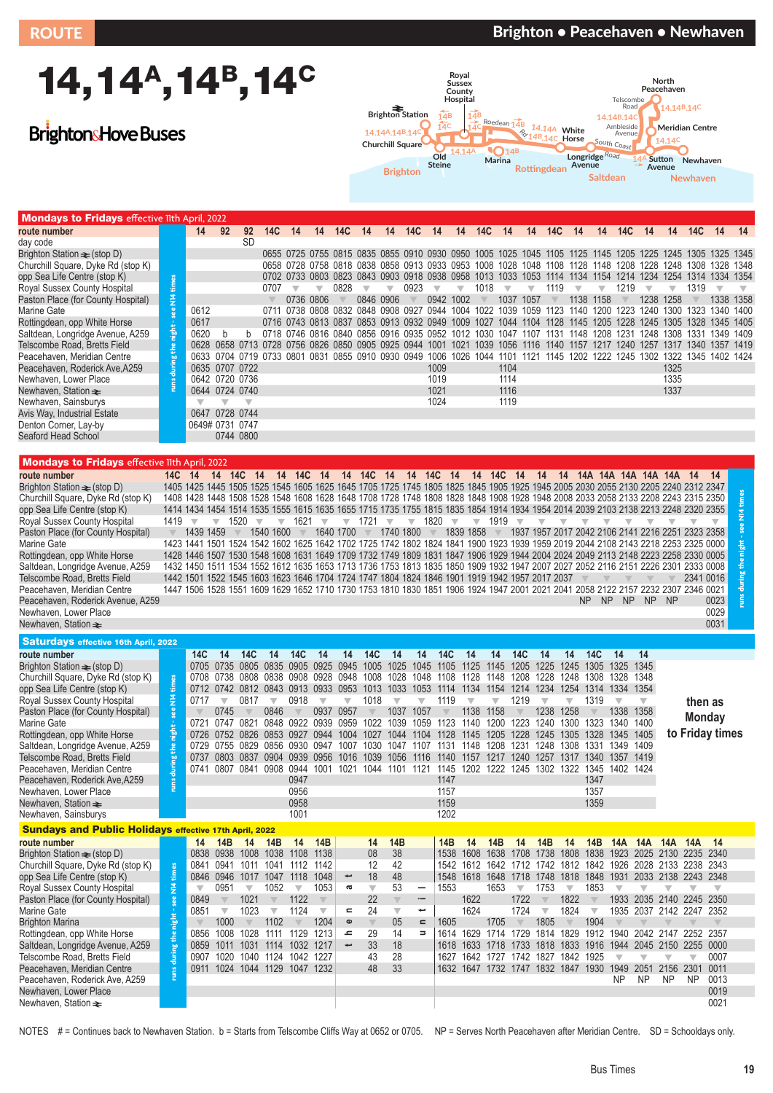# 14,14<sup>A</sup>,14<sup>B</sup>,14<sup>C</sup>

## **BrightonsHove Buses**



| <b>Mondays to Fridays</b> effective 11th April, 2022 |      |                 |                |                         |                                                   |    |                |      |    |                |            |                                              |      |      |      |      |      |                |                          |                                                                                                          |       |                          |      |                     |      |
|------------------------------------------------------|------|-----------------|----------------|-------------------------|---------------------------------------------------|----|----------------|------|----|----------------|------------|----------------------------------------------|------|------|------|------|------|----------------|--------------------------|----------------------------------------------------------------------------------------------------------|-------|--------------------------|------|---------------------|------|
| route number                                         |      | 14              | 92             | 92                      | 14C                                               | 14 | 14             | 14C  | 14 | 14             | <b>14C</b> | -14                                          | 14   | 14C  | 14   | 14   | 14C  | 14             | 14                       | 14C                                                                                                      | 14    | 14                       | 14C  | 14                  | 14   |
| day code                                             |      |                 |                | <b>SD</b>               |                                                   |    |                |      |    |                |            |                                              |      |      |      |      |      |                |                          |                                                                                                          |       |                          |      |                     |      |
| Brighton Station $\equiv$ (stop D)                   |      |                 |                |                         |                                                   |    |                |      |    |                |            |                                              |      |      |      |      |      |                |                          | 0655 0725 0755 0815 0835 0855 0910 0930 0950 1005 1025 1045 1105 1125 1145 1205 1225 1245 1305 1325 1345 |       |                          |      |                     |      |
| Churchill Square, Dyke Rd (stop K)                   |      |                 |                |                         |                                                   |    |                |      |    |                |            | 0658 0728 0758 0818 0838 0858 0913 0933 0953 |      | 1008 | 1028 | 1048 | 1108 | 1128           | 1148                     | 1208                                                                                                     | 1228  | 1248                     | 1308 | 1328 1348           |      |
| opp Sea Life Centre (stop K)                         |      |                 |                |                         |                                                   |    |                |      |    |                |            | 0702 0733 0803 0823 0843 0903 0918 0938 0958 |      | 1013 | 1033 | 1053 |      | 1114 1134      | 1154                     | 1214                                                                                                     | -1234 | 1254                     | 1314 | 1334 1354           |      |
| Royal Sussex County Hospital                         |      |                 |                |                         | 0707                                              |    |                | 0828 |    |                | 0923       |                                              |      | 1018 |      |      | 1119 |                | $\overline{\phantom{a}}$ | 1219                                                                                                     |       | $\overline{\phantom{a}}$ | 1319 |                     |      |
| Paston Place (for County Hospital)                   | È    |                 |                |                         |                                                   |    | 0736 0806      |      |    | 0846 0906      |            | 0942 1002                                    |      |      | 1037 | 1057 |      | 1138           | 1158                     |                                                                                                          | 1238  | 1258                     |      | 1338                | 1358 |
| Marine Gate                                          |      | 0612            |                |                         | 0711                                              |    |                |      |    |                |            | 0738 0808 0832 0848 0908 0927 0944           | 1004 | 1022 | 1039 | 1059 |      | 1123 1140 1200 |                          | 1223 1240 1300                                                                                           |       |                          | 1323 | 1340 1400           |      |
| Rottingdean, opp White Horse                         |      | 0617            |                |                         |                                                   |    |                |      |    |                |            | 0716 0743 0813 0837 0853 0913 0932 0949      | 1009 | 1027 |      |      |      |                |                          | 1044 1104 1128 1145 1205 1228 1245 1305 1328 1345 1405                                                   |       |                          |      |                     |      |
| Saltdean, Longridge Avenue, A259                     | nigh | 0620            | <sub>n</sub>   |                         |                                                   |    |                |      |    |                |            | 0718 0746 0816 0840 0856 0916 0935 0952 1012 |      | 1030 | 1047 | 1107 | 1131 | 1148           | 1208                     | 1231                                                                                                     | 1248  | 1308.                    | 1331 | 1349                | 1409 |
| Telscombe Road, Bretts Field                         |      | 0628            | 0658           | 0713                    | 0728                                              |    | 0756 0826 0850 |      |    | 0905 0925 0944 |            |                                              | 1021 | 1039 | 1056 | 1116 | 1140 | 1157           | 1217                     | 1240                                                                                                     | 1257  | 1317                     | 1340 | 1357 1419           |      |
| Peacehaven, Meridian Centre                          |      |                 |                |                         | 0633 0704 0719 0733 0801 0831 0855 0910 0930 0949 |    |                |      |    |                |            | 1006 1026                                    |      | 1044 | 1101 | 1121 |      |                |                          | 1145 1202 1222 1245 1302                                                                                 |       |                          |      | 1322 1345 1402 1424 |      |
| Peacehaven, Roderick Ave.A259                        |      |                 | 0635 0707 0722 |                         |                                                   |    |                |      |    |                |            | 1009                                         |      |      | 1104 |      |      |                |                          |                                                                                                          |       | 1325                     |      |                     |      |
| Newhaven, Lower Place                                |      |                 | 0642 0720 0736 |                         |                                                   |    |                |      |    |                |            | 1019                                         |      |      | 1114 |      |      |                |                          |                                                                                                          |       | 1335                     |      |                     |      |
| Newhaven, Station $\equiv$                           |      |                 | 0644 0724 0740 |                         |                                                   |    |                |      |    |                |            | 1021                                         |      |      | 1116 |      |      |                |                          |                                                                                                          |       | 1337                     |      |                     |      |
| Newhaven, Sainsburys                                 |      |                 |                | $\overline{\mathbf{v}}$ |                                                   |    |                |      |    |                |            | 1024                                         |      |      | 1119 |      |      |                |                          |                                                                                                          |       |                          |      |                     |      |
| Avis Way, Industrial Estate                          |      |                 | 0647 0728 0744 |                         |                                                   |    |                |      |    |                |            |                                              |      |      |      |      |      |                |                          |                                                                                                          |       |                          |      |                     |      |
| Denton Corner, Lay-by                                |      | 0649# 0731 0747 |                |                         |                                                   |    |                |      |    |                |            |                                              |      |      |      |      |      |                |                          |                                                                                                          |       |                          |      |                     |      |
| Seaford Head School                                  |      |                 |                | 0744 0800               |                                                   |    |                |      |    |                |            |                                              |      |      |      |      |      |                |                          |                                                                                                          |       |                          |      |                     |      |

#### Mondays to Fridays effective 11th April, 2022

| opp Sea Life Centre (stop K)<br>Royal Sussex County Hospital<br>Paston Place (for County Hospital)<br>Marine Gate<br>Rottingdean, opp White Horse<br>Saltdean, Longridge Avenue, A259<br>Telscombe Road, Bretts Field<br>Peacehaven, Meridian Centre<br>Peacehaven, Roderick Ave, A259<br>Newhaven, Lower Place<br>Newhaven, Station $\equiv$<br>Newhaven, Sainsburys<br>Avis Way, Industrial Estate<br>Denton Corner, Lay-by<br>Seaford Head School                                                                                             | ÷<br>$\frac{3}{2}$<br>night<br>the                        | 0612<br>0617<br>0620<br>$\overline{\mathbb{V}}$                                                                                                                                                                                                                                                                                                                                                                                                                                                                                                                                                                                                                                                                                                                                                                                                                                                                                                                                                                                                                                | b<br>0635 0707 0722<br>0642 0720 0736<br>0644 0724 0740<br>$\overline{\mathbf{v}}$<br>0647 0728 0744<br>0649# 0731 0747<br>0744 0800 | b<br>$\overline{\mathbf{v}}$                                             | 0707                                                                                                                                                                                                                                                        | U <i>I</i> 33 U8U3<br>$\overline{\mathbf{v}}$<br>0736                                 | $\overline{\mathbb{V}}$<br>0806                                 | <b>U823</b><br>0828                                                                 | U843<br>$\overline{\mathbb{V}}$<br>0846 0906                                                                   | <b>UYUJ</b><br>▼<br>0711 0738 0808 0832 0848 0908 0927 0944 1004 1022 1039 1059 1123 1140 1200 1223 1240 1300 1323 1340 1400<br>0716 0743 0813 0837 0853 0913 0932 0949 1009 1027 1044 1104 1128 1145 1205 1228 1245 1305 1328<br>0718 0746 0816 0840 0856 0916 0935 0952 1012 1030 1047 1107 1131 1148 1208 1231 1248 1308 1331 1349 1409<br>0628 0658 0713 0728 0756 0826 0850 0905 0925 0944 1001 1021 1039 1056 1116 1140 1157 1217 1240 1257 1317 1340 1357 1419<br>0633 0704 0719 0733 0801 0831 0855 0910 0930 0949 1006 1026 1044 1101 1121 1145 1202 1222 1245 1302 1322 1345 1402 1424 | <b>UA.19</b><br>0923                                                      | <b>UY38</b><br>$\overline{\mathbf{v}}$<br>0942 1002<br>1009<br>1019<br>1021<br>1024 | <b>UYSO</b><br>$\overline{\mathbb{V}}$                                                                                                                                                                                                                                                                        | J د<br>1018                                           | 1033 1053<br>1037<br>1104<br>1114<br>1116<br>1119                        | $\overline{\mathbb{V}}$<br>1057                                                                                                     | 1119                                                                                  | 1134<br>1138                                                              | 1158                                                                                                                    | 1219 | 1234<br>₩<br>1238                                                             | $\overline{\mathbb{V}}$<br>1258<br>1325<br>1335<br>1337 | 14<br>13<br>1319                                                                                                                                        | 1334 1354<br>1338 1358<br>1345 1405                                           |  |
|--------------------------------------------------------------------------------------------------------------------------------------------------------------------------------------------------------------------------------------------------------------------------------------------------------------------------------------------------------------------------------------------------------------------------------------------------------------------------------------------------------------------------------------------------|-----------------------------------------------------------|--------------------------------------------------------------------------------------------------------------------------------------------------------------------------------------------------------------------------------------------------------------------------------------------------------------------------------------------------------------------------------------------------------------------------------------------------------------------------------------------------------------------------------------------------------------------------------------------------------------------------------------------------------------------------------------------------------------------------------------------------------------------------------------------------------------------------------------------------------------------------------------------------------------------------------------------------------------------------------------------------------------------------------------------------------------------------------|--------------------------------------------------------------------------------------------------------------------------------------|--------------------------------------------------------------------------|-------------------------------------------------------------------------------------------------------------------------------------------------------------------------------------------------------------------------------------------------------------|---------------------------------------------------------------------------------------|-----------------------------------------------------------------|-------------------------------------------------------------------------------------|----------------------------------------------------------------------------------------------------------------|--------------------------------------------------------------------------------------------------------------------------------------------------------------------------------------------------------------------------------------------------------------------------------------------------------------------------------------------------------------------------------------------------------------------------------------------------------------------------------------------------------------------------------------------------------------------------------------------------|---------------------------------------------------------------------------|-------------------------------------------------------------------------------------|---------------------------------------------------------------------------------------------------------------------------------------------------------------------------------------------------------------------------------------------------------------------------------------------------------------|-------------------------------------------------------|--------------------------------------------------------------------------|-------------------------------------------------------------------------------------------------------------------------------------|---------------------------------------------------------------------------------------|---------------------------------------------------------------------------|-------------------------------------------------------------------------------------------------------------------------|------|-------------------------------------------------------------------------------|---------------------------------------------------------|---------------------------------------------------------------------------------------------------------------------------------------------------------|-------------------------------------------------------------------------------|--|
| <b>Mondays to Fridays effective 11th April, 2022</b><br>route number<br>Brighton Station $\equiv$ (stop D)<br>Churchill Square, Dyke Rd (stop K)<br>opp Sea Life Centre (stop K)<br>Royal Sussex County Hospital<br>Paston Place (for County Hospital)<br>Marine Gate<br>Rottingdean, opp White Horse<br>Saltdean, Longridge Avenue, A259<br>Telscombe Road, Bretts Field<br>Peacehaven, Meridian Centre                                                                                                                                         | 14C 14<br>1419                                            | 1405 1425 1445 1505 1525 1545 1605 1625 1645 1705 1725 1745 1805 1825 1845 1905 1925 1945 2005 2030 2055 2130 2205 2240 2312 2347<br>1408 1428 1448 1508 1528 1548 1608 1628 1648 1708 1728 1748 1808 1828 1848 1908 1928 1948 2008 2033 2058 2133 2208 2243 2315 2350<br>1414 1434 1454 1514 1535 1555 1615 1635 1655 1715 1735 1755 1815 1835 1854 1914 1934 1954 2014 2039 2103 2138 2213 2248 2320 2355<br>1439 1459<br>1423 1441 1501 1524 1542 1602 1625 1642 1702 1725 1742 1802 1824 1841 1900 1923 1939 1959 2019 2044 2108 2143 2218 2253 2325 0000<br>1428 1446 1507 1530 1548 1608 1631 1649 1709 1732 1749 1809 1831 1847 1906 1929 1944 2004 2024 2049 2113 2148 2223 2258 2330 0005<br>1432 1450 1511 1534 1552 1612 1635 1653 1713 1736 1753 1813 1835 1850 1909 1932 1947 2007 2027 2052 2116 2151 2226 2301 2333 0008<br>1442 1501 1522 1545 1603 1623 1646 1704 1724 1747 1804 1824 1846 1901 1919 1942 1957 2017 2037<br>1447 1506 1528 1551 1609 1629 1652 1710 1730 1753 1810 1830 1851 1906 1924 1947 2001 2021 2041 2058 2122 2157 2232 2307 2346 0021 | 14 14C 14<br>$\overline{\mathbb{V}}$                                                                                                 | 1520                                                                     | $\overline{\phantom{0}}$<br>1540 1600                                                                                                                                                                                                                       | 14 14C 14<br>1621                                                                     | $\overline{\mathbf{v}}$                                         | 1640 1700                                                                           | $\sqrt{ }$ 1721 $\sqrt{ }$<br>$\mathbb V$                                                                      | 14 14C 14 14 14C 14 14 14C 14<br>1740 1800                                                                                                                                                                                                                                                                                                                                                                                                                                                                                                                                                       | $\sqrt{ }$ 1820                                                           | $\overline{\mathbf{v}}$                                                             | 1839 1858                                                                                                                                                                                                                                                                                                     | $\blacktriangledown$ 1919                             |                                                                          | 14 14 14A 14A 14A 14A 14A 14A 14<br>1937 1957 2017 2042 2106 2141 2216 2251 2323 2358                                               |                                                                                       | ▼                                                                         | ▼                                                                                                                       |      |                                                                               |                                                         | 2341 0016                                                                                                                                               |                                                                               |  |
| Peacehaven, Roderick Avenue, A259<br>Newhaven, Lower Place<br>Newhaven, Station $\equiv$<br><b>Saturdays effective 16th April, 2022</b>                                                                                                                                                                                                                                                                                                                                                                                                          |                                                           |                                                                                                                                                                                                                                                                                                                                                                                                                                                                                                                                                                                                                                                                                                                                                                                                                                                                                                                                                                                                                                                                                |                                                                                                                                      |                                                                          |                                                                                                                                                                                                                                                             |                                                                                       |                                                                 |                                                                                     |                                                                                                                |                                                                                                                                                                                                                                                                                                                                                                                                                                                                                                                                                                                                  |                                                                           |                                                                                     |                                                                                                                                                                                                                                                                                                               |                                                       |                                                                          |                                                                                                                                     |                                                                                       | NP NP                                                                     |                                                                                                                         | NP   | NP                                                                            | <sub>NP</sub>                                           |                                                                                                                                                         | 0023<br>0029<br>0031                                                          |  |
| route number<br>Brighton Station $\equiv$ (stop D)<br>Churchill Square, Dyke Rd (stop K)<br>opp Sea Life Centre (stop K)<br>Royal Sussex County Hospital<br>Paston Place (for County Hospital)<br>Marine Gate<br>Rottingdean, opp White Horse<br>Saltdean, Longridge Avenue, A259<br>Telscombe Road, Bretts Field<br>Peacehaven, Meridian Centre<br>Peacehaven, Roderick Ave, A259<br>Newhaven, Lower Place<br>Newhaven, Station $\equiv$<br>Newhaven, Sainsburys                                                                                | ఠ<br>들<br>$\frac{3}{2}$<br>during                         | 14C<br>0717<br>0737                                                                                                                                                                                                                                                                                                                                                                                                                                                                                                                                                                                                                                                                                                                                                                                                                                                                                                                                                                                                                                                            | 14<br>0705 0735<br>$\overline{\mathbf{v}}$<br>0745<br>0803                                                                           | <b>14C</b><br>0817                                                       | 14<br>0805 0835 0905 0925 0945 1005<br>0712 0742 0812 0843 0913 0933 0953 1013<br>$\overline{\mathbf{v}}$<br>0846<br>0726 0752 0826 0853 0927 0944<br>0837 0904 0939 0956                                                                                   | 14C<br>0918<br>0947<br>0956<br>0958<br>1001                                           | 14<br>$\overline{\mathbf{v}}$                                   | 14<br>$\overline{\mathbb{V}}$<br>0937 0957                                          | <b>14C</b><br>1018<br>1004 1027                                                                                | 14<br>1025<br>0708 0738 0808 0838 0908 0928 0948 1008 1028 1048 1108 1128<br>1033 1053<br>$\overline{\mathbf{v}}$<br>1037<br>0721 0747 0821 0848 0922 0939 0959 1022 1039<br>1044<br>0729 0755 0829 0856 0930 0947 1007 1030 1047 1107 1131 1148 1208 1231 1248 1308<br>1016 1039 1056 1116<br>0741 0807 0841 0908 0944 1001 1021 1044 1101 1121 1145 1202 1222 1245 1302 1322 1345 1402 1424                                                                                                                                                                                                    | 14<br>1045<br>$\overline{\mathbb{V}}$<br>1057<br>1059<br>1104             | 14C<br>1105<br>1114<br>1119<br>1128<br>1147<br>1157<br>1159<br>1202                 | 14<br>1125<br>1134 1154 1214<br>$\overline{\mathbf{v}}$<br>1138<br>1123 1140 1200 1223<br>1145<br>1140 1157 1217 1240 1257                                                                                                                                                                                    | 14<br>1145<br>$\overline{\mathbb{V}}$<br>1158<br>1205 | 14C<br>1205<br>1148 1208<br>1219<br>1228                                 | 14<br>1225<br>1228<br>1234<br>$\overline{\mathbf{v}}$<br>1238<br>1240<br>1245                                                       | 14<br>1245<br>1248<br>1254<br>$\overline{\mathbb{V}}$<br>1258<br>1300<br>1305<br>1317 | 14C<br>1305<br>1308<br>1319<br>1328<br>1340<br>1347<br>1357<br>1359       | 14<br>1325<br>1328<br>1314 1334 1354<br>$\overline{\mathbb{V}}$<br>1338<br>1323 1340<br>-1345<br>1331 1349 1409<br>1357 |      | 14<br>1345<br>1348<br>$\overline{\mathbf{v}}$<br>1358<br>1400<br>1405<br>1419 |                                                         | then as<br><b>Monday</b>                                                                                                                                | to Friday times                                                               |  |
| <b>Sundays and Public Holidays effective 17th April, 2022</b><br>route number<br>Brighton Station $\equiv$ (stop D)<br>Churchill Square, Dyke Rd (stop K)<br>opp Sea Life Centre (stop K)<br>Royal Sussex County Hospital<br>Paston Place (for County Hospital)<br>Marine Gate<br><b>Brighton Marina</b><br>Rottingdean, opp White Horse<br>Saltdean, Longridge Avenue, A259<br>Telscombe Road, Bretts Field<br>Peacehaven, Meridian Centre<br>Peacehaven, Roderick Ave, A259<br>Newhaven, Lower Place<br>Newhaven, Station $\rightleftharpoons$ | ÷<br>$\frac{4}{5}$<br>night<br>the<br>during <sup>-</sup> | 14<br>$\overline{\mathbf{v}}$<br>0849<br>0851                                                                                                                                                                                                                                                                                                                                                                                                                                                                                                                                                                                                                                                                                                                                                                                                                                                                                                                                                                                                                                  | - 14B<br>0838 0938 1008 1038<br>0846 0946<br>0951<br>$\triangledown$<br>$\overline{\mathbf{v}}$<br>1000                              | 14<br>$\overline{\mathbb{V}}$<br>1021<br>1023<br>$\overline{\mathbb{V}}$ | - 14B<br>0841 0941 1011 1041 1112 1142<br>1017 1047 1118 1048<br>1052<br>$\mathbb V$<br>$\overline{\mathbf{v}}$<br>1102<br>0856 1008 1028 1111 1129 1213<br>0859 1011 1031 1114 1032 1217<br>0907 1020 1040 1124 1042 1227<br>0911 1024 1044 1129 1047 1232 | 14<br>1108 1138<br>$\overline{\mathbb{V}}$<br>1122<br>1124<br>$\overline{\mathbb{V}}$ | 14B<br>1053<br>$\mathbb {V}$<br>$\overline{\mathbf{v}}$<br>1204 | پ<br>g<br>$\blacksquare$<br>$\pmb{\omega}$<br>$\,$ $\,$<br>$\overline{\phantom{a}}$ | 14<br>08<br>12<br>18<br>$\overline{\mathbf{v}}$<br>22<br>24<br>$\overline{\mathbb{V}}$<br>29<br>33<br>43<br>48 | 14B<br>38<br>42<br>48<br>53<br>$\overline{\mathbb{V}}$<br>$\overline{\mathbf{v}}$<br>05<br>14<br>18<br>28<br>33                                                                                                                                                                                                                                                                                                                                                                                                                                                                                  | $\qquad \qquad -$<br>$\overline{\phantom{a}}$<br>پ<br>$\blacksquare$<br>Ξ | 14B<br>1538<br>1553<br>1605                                                         | 14<br>1542 1612 1642 1712 1742 1812 1842 1926 2028 2133 2238 2343<br>1548 1618 1648 1718<br>1622<br>1624<br>1614 1629 1714 1729 1814 1829 1912 1940 2042 2147 2252 2357<br>1618 1633 1718 1733 1818 1833 1916 1944 2045 2150<br>1627 1642 1727 1742 1827 1842 1925<br>1632 1647 1732 1747 1832 1847 1930 1949 | 14B<br>1653<br>1705                                   | 14<br>$\overline{\mathbf{v}}$<br>1722<br>1724<br>$\overline{\mathbb{V}}$ | 14B<br>1608 1638 1708 1738 1808 1838 1923 2025 2130 2235 2340<br>1753<br>$\overline{\mathbb{V}}$<br>$\overline{\mathbf{v}}$<br>1805 | 14<br>$\overline{\mathbf{v}}$<br>1822<br>1824<br>$\overline{\mathbb{V}}$              | 14B<br>1853<br>$\overline{\mathbb{V}}$<br>$\overline{\mathbf{v}}$<br>1904 | 14A<br>▼<br>$\overline{\mathbf{v}}$                                                                                     | NP.  | 14A<br>$\overline{\mathbf{v}}$<br>2051 2156<br>NP                             | 14A<br>$\overline{\mathbb{V}}$<br>NP                    | 14A<br>1748 1818 1848 1931 2033 2138 2243 2348<br>1933 2035 2140 2245 2350<br>1935 2037 2142 2247 2352<br>2255<br>$\overline{\mathbb{V}}$<br>2301<br>NP | 14<br>$\overline{\mathbb{V}}$<br>0000<br>0007<br>0011<br>0013<br>0019<br>0021 |  |

NOTES #= Continues back to Newhaven Station. b = Starts from Telscombe Cliffs Way at 0652 or 0705. NP = Serves North Peacehaven after Meridian Centre. SD = Schooldays only.